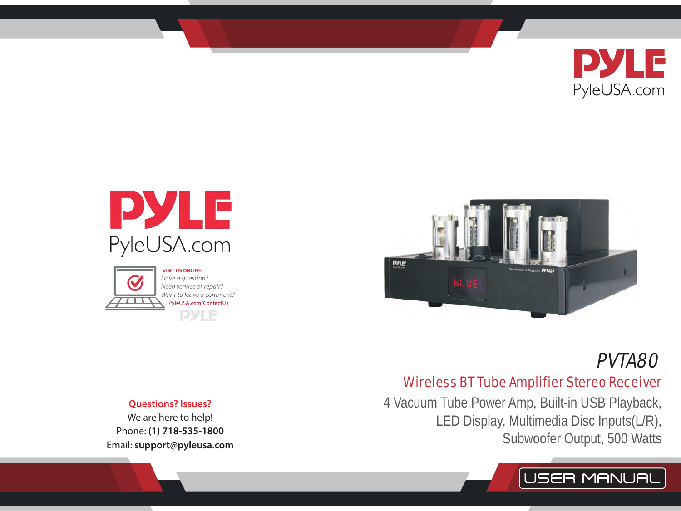



**DYLE** 



#### **Questions? Issues?**

We are here to help! Phone: **(1) 718-535-1800** Email: **support@pyleusa.com**



# PVTA80

## Wireless BT Tube Amplifier Stereo Receiver

4 Vacuum Tube Power Amp, Built-in USB Playback, LED Display, Multimedia Disc Inputs(L/R), Subwoofer Output, 500 Watts